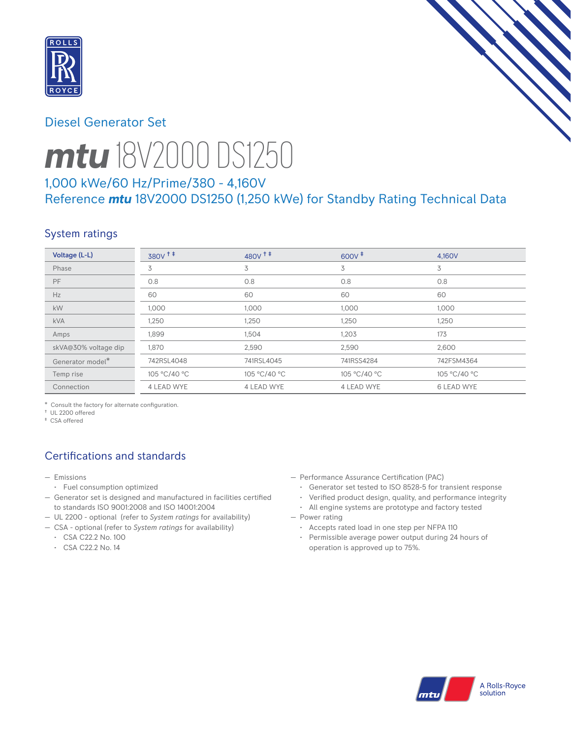

# Diesel Generator Set



# *mtu* 18V2000 DS1250

## 1,000 kWe/60 Hz/Prime/380 - 4,160V Reference *mtu* 18V2000 DS1250 (1,250 kWe) for Standby Rating Technical Data

## System ratings

| Voltage (L-L)        | 380V <sup>+</sup> | $480V$ <sup>++</sup> | $600V^+$     | 4.160V            |
|----------------------|-------------------|----------------------|--------------|-------------------|
| Phase                | 3                 | 3                    | 3            | 3                 |
| <b>PF</b>            | 0.8               | 0.8                  | 0.8          | 0.8               |
| Hz                   | 60                | 60                   | 60           | 60                |
| kW                   | 1,000             | 1,000                | 1,000        | 1,000             |
| <b>kVA</b>           | 1,250             | 1,250                | 1,250        | 1,250             |
| Amps                 | 1,899             | 1,504                | 1,203        | 173               |
| skVA@30% voltage dip | 1,870             | 2,590                | 2,590        | 2,600             |
| Generator model*     | 742RSL4048        | 741RSL4045           | 741RSS4284   | 742FSM4364        |
| Temp rise            | 105 °C/40 °C      | 105 °C/40 °C         | 105 °C/40 °C | 105 °C/40 °C      |
| Connection           | 4 LEAD WYE        | 4 LEAD WYE           | 4 LEAD WYE   | <b>6 LEAD WYE</b> |

\* Consult the factory for alternate configuration.

† UL 2200 offered

‡ CSA offered

# Certifications and standards

- Emissions
- Fuel consumption optimized
- Generator set is designed and manufactured in facilities certified to standards ISO 9001:2008 and ISO 14001:2004
- UL 2200 optional (refer to *System ratings* for availability)
- CSA optional (refer to *System ratings* for availability)
	- CSA C22.2 No. 100
	- CSA C22.2 No. 14
- Performance Assurance Certification (PAC)
	- Generator set tested to ISO 8528-5 for transient response
	- Verified product design, quality, and performance integrity
- All engine systems are prototype and factory tested — Power rating
	- Accepts rated load in one step per NFPA 110
	- Permissible average power output during 24 hours of operation is approved up to 75%.

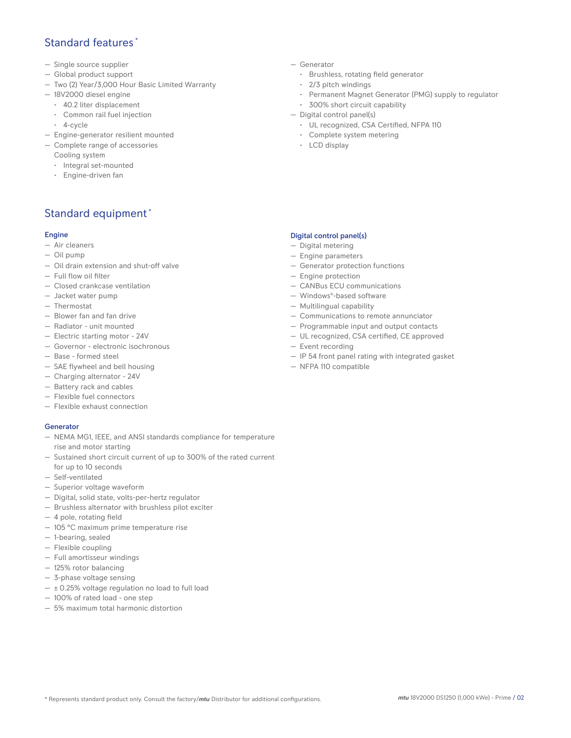## Standard features \*

- Single source supplier
- Global product support
- Two (2) Year/3,000 Hour Basic Limited Warranty
- 18V2000 diesel engine
	- 40.2 liter displacement
	- Common rail fuel injection
	- 4-cycle
- Engine-generator resilient mounted
- Complete range of accessories
	- Cooling system
	- Integral set-mounted
	- Engine-driven fan

## Standard equipment \*

#### Engine

- Air cleaners
- Oil pump
- Oil drain extension and shut-off valve
- Full flow oil filter
- Closed crankcase ventilation
- Jacket water pump
- Thermostat
- Blower fan and fan drive
- Radiator unit mounted
- Electric starting motor 24V
- Governor electronic isochronous
- Base formed steel
- SAE flywheel and bell housing
- Charging alternator 24V
- Battery rack and cables
- Flexible fuel connectors
- Flexible exhaust connection

#### Generator

- NEMA MG1, IEEE, and ANSI standards compliance for temperature rise and motor starting
- Sustained short circuit current of up to 300% of the rated current for up to 10 seconds
- Self-ventilated
- Superior voltage waveform
- Digital, solid state, volts-per-hertz regulator
- Brushless alternator with brushless pilot exciter
- 4 pole, rotating field
- 105 °C maximum prime temperature rise
- 1-bearing, sealed
- Flexible coupling
- Full amortisseur windings
- 125% rotor balancing
- 3-phase voltage sensing
- $\pm$  0.25% voltage regulation no load to full load
- 100% of rated load one step
- 5% maximum total harmonic distortion
- Generator
	- Brushless, rotating field generator
	- 2/3 pitch windings
	- Permanent Magnet Generator (PMG) supply to regulator
- 300% short circuit capability
- Digital control panel(s)
	- UL recognized, CSA Certified, NFPA 110
	- Complete system metering
	- LCD display

#### Digital control panel(s)

- Digital metering
- Engine parameters
- Generator protection functions
- Engine protection
- CANBus ECU communications
- Windows®-based software
- Multilingual capability
- Communications to remote annunciator
- Programmable input and output contacts
- UL recognized, CSA certified, CE approved
- Event recording
- IP 54 front panel rating with integrated gasket
- NFPA 110 compatible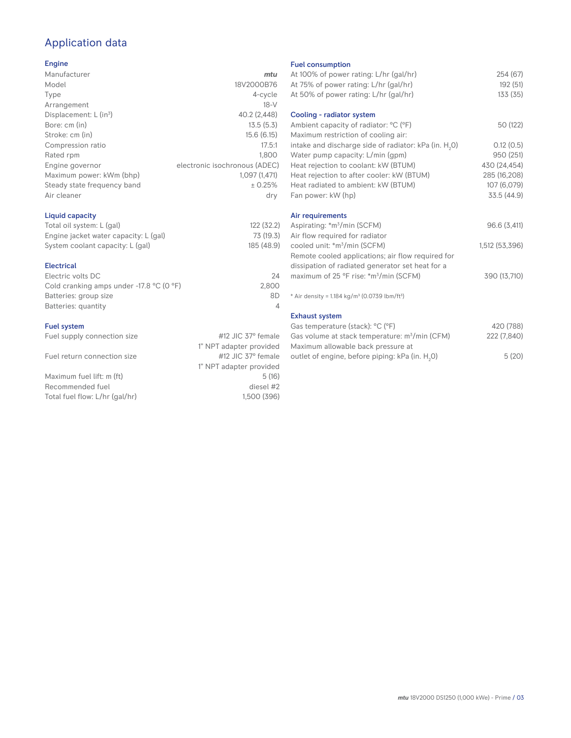# Application data

#### Engine

| Manufacturer                         | mtu                           |
|--------------------------------------|-------------------------------|
| Model                                | 18V2000B76                    |
| Type                                 | 4-cycle                       |
| Arrangement                          | $18-V$                        |
| Displacement: $L$ (in <sup>3</sup> ) | 40.2 (2,448)                  |
| Bore: cm (in)                        | 13.5(5.3)                     |
| Stroke: cm (in)                      | 15.6(6.15)                    |
| Compression ratio                    | 17.5:1                        |
| Rated rpm                            | 1.800                         |
| Engine governor                      | electronic isochronous (ADEC) |
| Maximum power: kWm (bhp)             | 1,097 (1,471)                 |
| Steady state frequency band          | ± 0.25%                       |
| Air cleaner                          | dry                           |
|                                      |                               |

#### Liquid capacity

| Total oil system: L (gal)             | 122 (32.2) |
|---------------------------------------|------------|
| Engine jacket water capacity: L (gal) | 73 (19.3)  |
| System coolant capacity: L (gal)      | 185 (48.9) |

#### Electrical

| Electric volts DC                                            | 24    |
|--------------------------------------------------------------|-------|
| Cold cranking amps under -17.8 $^{\circ}$ C (O $^{\circ}$ F) | 2.800 |
| Batteries: group size                                        | 8D    |
| Batteries: quantity                                          |       |
|                                                              |       |

#### Fuel system

| Fuel supply connection size | #12 JIC 37° female      | G       |
|-----------------------------|-------------------------|---------|
|                             | 1" NPT adapter provided | $\sim$  |
| Fuel return connection size | #12 JIC 37° female      | $\circ$ |
|                             | 1" NPT adapter provided |         |

Maximum fuel lift: m (ft) 5 (16) Recommended fuel diesel #2<br>Total fuel flow: L/hr (gal/hr) diesel #2<br>1,500 (396) Total fuel flow: L/hr (gal/hr)

Fuel consumption

| r det consumption                                                     |                |
|-----------------------------------------------------------------------|----------------|
| At 100% of power rating: L/hr (gal/hr)                                | 254 (67)       |
| At 75% of power rating: L/hr (gal/hr)                                 | 192 (51)       |
| At 50% of power rating: L/hr (gal/hr)                                 | 133 (35)       |
| Cooling - radiator system                                             |                |
| Ambient capacity of radiator: °C (°F)                                 | 50 (122)       |
| Maximum restriction of cooling air:                                   |                |
| intake and discharge side of radiator: kPa (in. H <sub>2</sub> 0)     | 0.12(0.5)      |
| Water pump capacity: L/min (gpm)                                      | 950 (251)      |
| Heat rejection to coolant: kW (BTUM)                                  | 430 (24,454)   |
| Heat rejection to after cooler: kW (BTUM)                             | 285 (16,208)   |
| Heat radiated to ambient: kW (BTUM)                                   | 107 (6,079)    |
| Fan power: kW (hp)                                                    | 33.5 (44.9)    |
| Air requirements                                                      |                |
| Aspirating: *m <sup>3</sup> /min (SCFM)                               | 96.6 (3,411)   |
| Air flow required for radiator                                        |                |
| cooled unit: *m <sup>3</sup> /min (SCFM)                              | 1,512 (53,396) |
| Remote cooled applications; air flow required for                     |                |
| dissipation of radiated generator set heat for a                      |                |
| maximum of 25 °F rise: *m <sup>3</sup> /min (SCFM)                    | 390 (13,710)   |
| * Air density = 1.184 kg/m <sup>3</sup> (0.0739 lbm/ft <sup>3</sup> ) |                |
|                                                                       |                |
| <b>Exhaust system</b>                                                 |                |
| Gas temperature (stack): °C (°F)                                      | 420 (788)      |
| Gas volume at stack temperature: m <sup>3</sup> /min (CFM)            | 222 (7,840)    |
| Maximum allowable back pressure at                                    |                |

| Gas volume at stack temperature: m <sup>3</sup> /min (CFM) | 222 (7,840) |
|------------------------------------------------------------|-------------|
| Maximum allowable back pressure at                         |             |
| outlet of engine, before piping: kPa (in. H.O)             | 5(20)       |